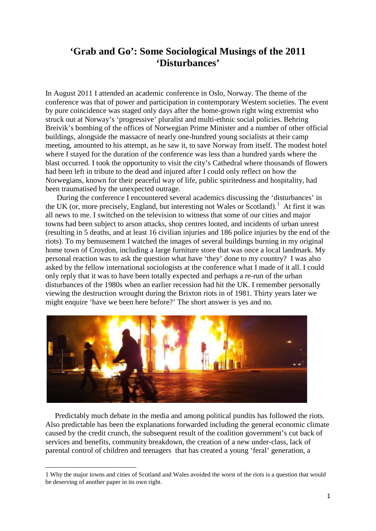# **'Grab and Go': Some Sociological Musings of the 2011 'Disturbances'**

In August 2011 I attended an academic conference in Oslo, Norway. The theme of the conference was that of power and participation in contemporary Western societies. The event by pure coincidence was staged only days after the home-grown right wing extremist who struck out at Norway's 'progressive' pluralist and multi-ethnic social policies. Behring Breivik's bombing of the offices of Norwegian Prime Minister and a number of other official buildings, alongside the massacre of nearly one-hundred young socialists at their camp meeting, amounted to his attempt, as he saw it, to save Norway from itself. The modest hotel where I stayed for the duration of the conference was less than a hundred yards where the blast occurred. I took the opportunity to visit the city's Cathedral where thousands of flowers had been left in tribute to the dead and injured after I could only reflect on how the Norwegians, known for their peaceful way of life, public spiritedness and hospitality, had been traumatised by the unexpected outrage.

 During the conference I encountered several academics discussing the 'disturbances' in the UK (or, more precisely, England, but interesting not Wales or Scotland).<sup>[1](#page-0-0)</sup> At first it was all news to me. I switched on the television to witness that some of our cities and major towns had been subject to arson attacks, shop centres looted, and incidents of urban unrest (resulting in 5 deaths, and at least 16 civilian injuries and 186 police injuries by the end of the riots). To my bemusement I watched the images of several buildings burning in my original home town of Croydon, including a large furniture store that was once a local landmark. My personal reaction was to ask the question what have 'they' done to my country? I was also asked by the fellow international sociologists at the conference what I made of it all. I could only reply that it was to have been totally expected and perhaps a re-run of the urban disturbances of the 1980s when an earlier recession had hit the UK. I remember personally viewing the destruction wrought during the Brixton riots in of 1981. Thirty years later we might enquire 'have we been here before?' The short answer is yes and no.



 Predictably much debate in the media and among political pundits has followed the riots. Also predictable has been the explanations forwarded including the general economic climate caused by the credit crunch, the subsequent result of the coalition government's cut back of services and benefits, community breakdown, the creation of a new under-class, lack of parental control of children and teenagers that has created a young 'feral' generation, a

 $\overline{a}$ 

<span id="page-0-0"></span><sup>1</sup> Why the major towns and cities of Scotland and Wales avoided the worst of the riots is a question that would be deserving of another paper in its own right.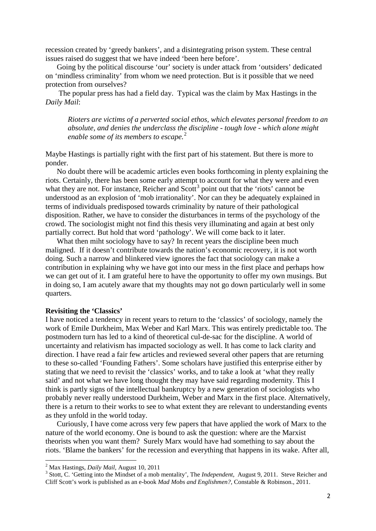recession created by 'greedy bankers', and a disintegrating prison system. These central issues raised do suggest that we have indeed 'been here before'.

 Going by the political discourse 'our' society is under attack from 'outsiders' dedicated on 'mindless criminality' from whom we need protection. But is it possible that we need protection from ourselves?

 The popular press has had a field day. Typical was the claim by Max Hastings in the *Daily Mail*:

*Rioters are victims of a perverted social ethos, which elevates personal freedom to an absolute, and denies the underclass the discipline - tough love - which alone might enable some of its members to escape.*[2](#page-1-0)

Maybe Hastings is partially right with the first part of his statement. But there is more to ponder.

 No doubt there will be academic articles even books forthcoming in plenty explaining the riots. Certainly, there has been some early attempt to account for what they were and even what they are not. For instance, Reicher and  $S\text{cot}^3$  $S\text{cot}^3$  point out that the 'riots' cannot be understood as an explosion of 'mob irrationality'. Nor can they be adequately explained in terms of individuals predisposed towards criminality by nature of their pathological disposition. Rather, we have to consider the disturbances in terms of the psychology of the crowd. The sociologist might not find this thesis very illuminating and again at best only partially correct. But hold that word 'pathology'. We will come back to it later.

What then miht sociology have to say? In recent years the discipline been much maligned. If it doesn't contribute towards the nation's economic recovery, it is not worth doing. Such a narrow and blinkered view ignores the fact that sociology can make a contribution in explaining why we have got into our mess in the first place and perhaps how we can get out of it. I am grateful here to have the opportunity to offer my own musings. But in doing so, I am acutely aware that my thoughts may not go down particularly well in some quarters.

### **Revisiting the 'Classics'**

I have noticed a tendency in recent years to return to the 'classics' of sociology, namely the work of Emile Durkheim, Max Weber and Karl Marx. This was entirely predictable too. The postmodern turn has led to a kind of theoretical cul-de-sac for the discipline. A world of uncertainty and relativism has impacted sociology as well. It has come to lack clarity and direction. I have read a fair few articles and reviewed several other papers that are returning to these so-called 'Founding Fathers'. Some scholars have justified this enterprise either by stating that we need to revisit the 'classics' works, and to take a look at 'what they really said' and not what we have long thought they may have said regarding modernity. This I think is partly signs of the intellectual bankruptcy by a new generation of sociologists who probably never really understood Durkheim, Weber and Marx in the first place. Alternatively, there is a return to their works to see to what extent they are relevant to understanding events as they unfold in the world today.

 Curiously, I have come across very few papers that have applied the work of Marx to the nature of the world economy. One is bound to ask the question: where are the Marxist theorists when you want them? Surely Marx would have had something to say about the riots. 'Blame the bankers' for the recession and everything that happens in its wake. After all,

<span id="page-1-1"></span>

<span id="page-1-0"></span><sup>&</sup>lt;sup>2</sup> Max Hastings, *Daily Mail*, August 10, 2011<br><sup>3</sup> Stott, C. 'Getting into the Mindset of a mob mentality', The *Independent*, August 9, 2011. Steve Reicher and Cliff Scott's work is published as an e-book *Mad Mobs and Englishmen?*, Constable & Robinson., 2011.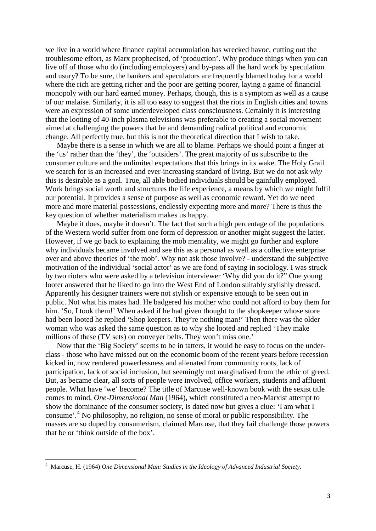we live in a world where finance capital accumulation has wrecked havoc, cutting out the troublesome effort, as Marx prophecised, of 'production'. Why produce things when you can live off of those who do (including employers) and by-pass all the hard work by speculation and usury? To be sure, the bankers and speculators are frequently blamed today for a world where the rich are getting richer and the poor are getting poorer, laying a game of financial monopoly with our hard earned money. Perhaps, though, this is a symptom as well as a cause of our malaise. Similarly, it is all too easy to suggest that the riots in English cities and towns were an expression of some underdeveloped class consciousness. Certainly it is interesting that the looting of 40-inch plasma televisions was preferable to creating a social movement aimed at challenging the powers that be and demanding radical political and economic change. All perfectly true, but this is not the theoretical direction that I wish to take.

 Maybe there is a sense in which we are all to blame. Perhaps we should point a finger at the 'us' rather than the 'they', the 'outsiders'. The great majority of us subscribe to the consumer culture and the unlimited expectations that this brings in its wake. The Holy Grail we search for is an increased and ever-increasing standard of living. But we do not ask *why*  this is desirable as a goal. True, all able bodied individuals should be gainfully employed. Work brings social worth and structures the life experience, a means by which we might fulfil our potential. It provides a sense of purpose as well as economic reward. Yet do we need more and more material possessions, endlessly expecting more and more? There is thus the key question of whether materialism makes us happy.

 Maybe it does, maybe it doesn't. The fact that such a high percentage of the populations of the Western world suffer from one form of depression or another might suggest the latter. However, if we go back to explaining the mob mentality, we might go further and explore why individuals became involved and see this as a personal as well as a collective enterprise over and above theories of 'the mob'. Why not ask those involve? - understand the subjective motivation of the individual 'social actor' as we are fond of saying in sociology. I was struck by two rioters who were asked by a television interviewer 'Why did you do it?" One young looter answered that he liked to go into the West End of London suitably stylishly dressed. Apparently his designer trainers were not stylish or expensive enough to be seen out in public. Not what his mates had. He badgered his mother who could not afford to buy them for him. 'So, I took them!' When asked if he had given thought to the shopkeeper whose store had been looted he replied 'Shop keepers. They're nothing man!' Then there was the older woman who was asked the same question as to why she looted and replied 'They make millions of these (TV sets) on conveyer belts. They won't miss one.'

 Now that the 'Big Society' seems to be in tatters, it would be easy to focus on the underclass - those who have missed out on the economic boom of the recent years before recession kicked in, now rendered powerlessness and alienated from community roots, lack of participation, lack of social inclusion, but seemingly not marginalised from the ethic of greed. But, as became clear, all sorts of people were involved, office workers, students and affluent people. What have 'we' become? The title of Marcuse well-known book with the sexist title comes to mind, *One*-*Dimensional Man* (1964), which constituted a neo-Marxist attempt to show the dominance of the consumer society, is dated now but gives a clue: 'I am what I consume'. [4](#page-2-0) No philosophy, no religion, no sense of moral or public responsibility. The masses are so duped by consumerism, claimed Marcuse, that they fail challenge those powers that be or 'think outside of the box'.

 $\overline{a}$ 

<span id="page-2-0"></span><sup>4</sup> Marcuse, H. (1964) *One Dimensional Man: Studies in the Ideology of Advanced Industrial Society.*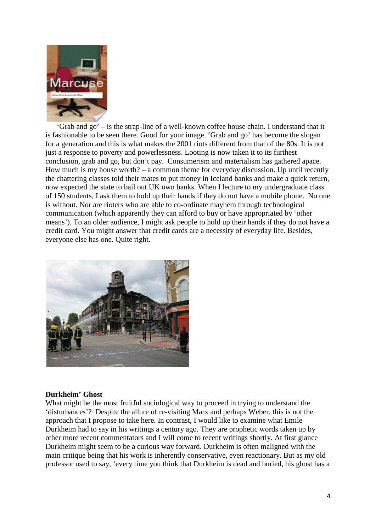

 'Grab and go' – is the strap-line of a well-known coffee house chain. I understand that it is fashionable to be seen there. Good for your image. 'Grab and go' has become the slogan for a generation and this is what makes the 2001 riots different from that of the 80s. It is not just a response to poverty and powerlessness. Looting is now taken it to its furthest conclusion, grab and go, but don't pay. Consumerism and materialism has gathered apace. How much is my house worth? – a common theme for everyday discussion. Up until recently the chattering classes told their mates to put money in Iceland banks and make a quick return, now expected the state to bail out UK own banks. When I lecture to my undergraduate class of 150 students, I ask them to hold up their hands if they do not have a mobile phone. No one is without. Nor are rioters who are able to co-ordinate mayhem through technological communication (which apparently they can afford to buy or have appropriated by 'other means'). To an older audience, I might ask people to hold up their hands if they do not have a credit card. You might answer that credit cards are a necessity of everyday life. Besides, everyone else has one. Quite right.



#### **Durkheim' Ghost**

What might be the most fruitful sociological way to proceed in trying to understand the 'disturbances'? Despite the allure of re-visiting Marx and perhaps Weber, this is not the approach that I propose to take here. In contrast, I would like to examine what Emile Durkheim had to say in his writings a century ago. They are prophetic words taken up by other more recent commentators and I will come to recent writings shortly. At first glance Durkheim might seem to be a curious way forward. Durkheim is often maligned with the main critique being that his work is inherently conservative, even reactionary. But as my old professor used to say, 'every time you think that Durkheim is dead and buried, his ghost has a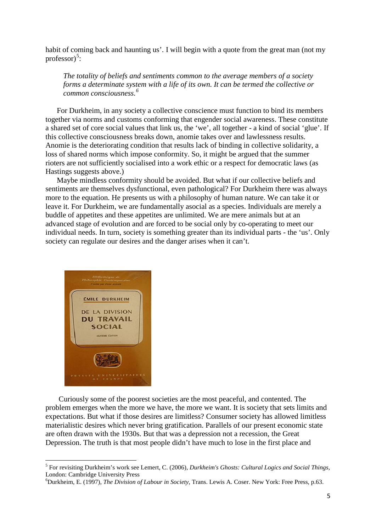habit of coming back and haunting us'. I will begin with a quote from the great man (not my professor)<sup>[5](#page-4-0)</sup>:

*The totality of beliefs and sentiments common to the average members of a society forms a determinate system with a life of its own. It can be termed the collective or common consciousness. [6](#page-4-1)*

 For Durkheim, in any society a collective conscience must function to bind its members together via norms and customs conforming that engender social awareness. These constitute a shared set of core social values that link us, the 'we', all together - a kind of social 'glue'. If this collective consciousness breaks down, anomie takes over and lawlessness results. Anomie is the deteriorating condition that results lack of binding in collective solidarity, a loss of shared norms which impose conformity. So, it might be argued that the summer rioters are not sufficiently socialised into a work ethic or a respect for democratic laws (as Hastings suggests above.)

 Maybe mindless conformity should be avoided. But what if our collective beliefs and sentiments are themselves dysfunctional, even pathological? For Durkheim there was always more to the equation. He presents us with a philosophy of human nature. We can take it or leave it. For Durkheim, we are fundamentally asocial as a species. Individuals are merely a buddle of appetites and these appetites are unlimited. We are mere animals but at an advanced stage of evolution and are forced to be social only by co-operating to meet our individual needs. In turn, society is something greater than its individual parts - the 'us'. Only society can regulate our desires and the danger arises when it can't.



 Curiously some of the poorest societies are the most peaceful, and contented. The problem emerges when the more we have, the more we want. It is society that sets limits and expectations. But what if those desires are limitless? Consumer society has allowed limitless materialistic desires which never bring gratification. Parallels of our present economic state are often drawn with the 1930s. But that was a depression not a recession, the Great Depression. The truth is that most people didn't have much to lose in the first place and

<span id="page-4-0"></span><sup>5</sup> For revisiting Durkheim's work see [Lemert, C.](http://en.wikipedia.org/wiki/Charles_Lemert) (2006), *Durkheim's Ghosts: Cultural Logics and Social Things,*  London: Cambridge University Press <sup>6</sup>

<span id="page-4-1"></span>Durkheim, E. (1997), *The Division of Labour in Society*, Trans. [Lewis A. Coser.](http://en.wikipedia.org/wiki/Lewis_A._Coser) New York: Free Press, p.63.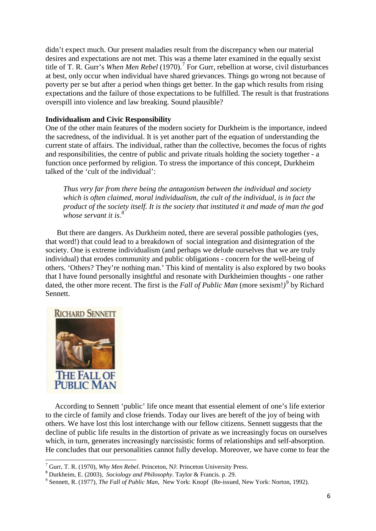didn't expect much. Our present maladies result from the discrepancy when our material desires and expectations are not met. This was a theme later examined in the equally sexist title of T. R. Gurr's *When Men Rebel* (19[7](#page-5-0)0).<sup>7</sup> For Gurr, rebellion at worse, civil disturbances at best, only occur when individual have shared grievances. Things go wrong not because of poverty per se but after a period when things get better. In the gap which results from rising expectations and the failure of those expectations to be fulfilled. The result is that frustrations overspill into violence and law breaking. Sound plausible?

## **Individualism and Civic Responsibility**

One of the other main features of the modern society for Durkheim is the importance, indeed the sacredness, of the individual. It is yet another part of the equation of understanding the current state of affairs. The individual, rather than the collective, becomes the focus of rights and responsibilities, the centre of public and private rituals holding the society together - a function once performed by religion. To stress the importance of this concept, Durkheim talked of the 'cult of the individual':

*Thus very far from there being the antagonism between the individual and society which is often claimed, moral individualism, the cult of the individual, is in fact the product of the society itself. It is the society that instituted it and made of man the god whose servant it is*. [8](#page-5-1)

 But there are dangers. As Durkheim noted, there are several possible pathologies (yes, that word!) that could lead to a breakdown of social integration and disintegration of the society. One is extreme individualism (and perhaps we delude ourselves that we are truly individual) that erodes community and public obligations - concern for the well-being of others. 'Others? They're nothing man.' This kind of mentality is also explored by two books that I have found personally insightful and resonate with Durkheimien thoughts - one rather dated, the other more recent. The first is the *Fall of Public Man* (more sexism!)<sup>[9](#page-5-2)</sup> by Richard Sennett.



 According to Sennett 'public' life once meant that essential element of one's life exterior to the circle of family and close friends. Today our lives are bereft of the joy of being with others. We have lost this lost interchange with our fellow citizens. Sennett suggests that the decline of public life results in the distortion of private as we increasingly focus on ourselves which, in turn, generates increasingly narcissistic forms of relationships and self-absorption. He concludes that our personalities cannot fully develop. Moreover, we have come to fear the

<span id="page-5-2"></span><span id="page-5-1"></span>

<span id="page-5-0"></span><sup>&</sup>lt;sup>7</sup> Gurr, T. R. (1970), *Why Men Rebel.* Princeton, NJ: Princeton University Press.<br><sup>8</sup> Durkheim, E. (2003), *[Sociology and Philosophy](http://books.google.com/books?id=pmg_Zp-IMB0C&pg=PA29)*. Taylor & Francis. p. 29.<br><sup>9</sup> Sennett, R. (1977), *The Fall of Public Man*, New York: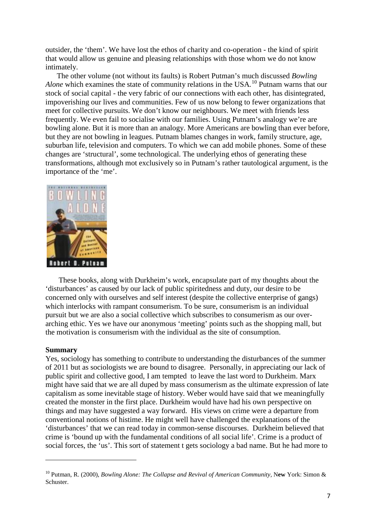outsider, the 'them'. We have lost the ethos of charity and co-operation - the kind of spirit that would allow us genuine and pleasing relationships with those whom we do not know intimately.

 The other volume (not without its faults) is Robert Putman's much discussed *Bowling Alone* which examines the state of community relations in the USA*.* [10](#page-6-0) Putnam warns that our stock of social capital - the very fabric of our connections with each other, has disintegrated, impoverishing our lives and communities. Few of us now belong to fewer organizations that meet for collective pursuits. We don't know our neighbours. We meet with friends less frequently. We even fail to socialise with our families. Using Putnam's analogy we're are bowling alone. But it is more than an analogy. More Americans are bowling than ever before, but they are not bowling in leagues. Putnam blames changes in work, family structure, age, suburban life, television and computers. To which we can add mobile phones. Some of these changes are 'structural', some technological. The underlying ethos of generating these transformations, although mot exclusively so in Putnam's rather tautological argument, is the importance of the 'me'.



 These books, along with Durkheim's work, encapsulate part of my thoughts about the 'disturbances' as caused by our lack of public spiritedness and duty, our desire to be concerned only with ourselves and self interest (despite the collective enterprise of gangs) which interlocks with rampant consumerism. To be sure, consumerism is an individual pursuit but we are also a social collective which subscribes to consumerism as our overarching ethic. Yes we have our anonymous 'meeting' points such as the shopping mall, but the motivation is consumerism with the individual as the site of consumption.

#### **Summary**

**.** 

Yes, sociology has something to contribute to understanding the disturbances of the summer of 2011 but as sociologists we are bound to disagree. Personally, in appreciating our lack of public spirit and collective good, I am tempted to leave the last word to Durkheim. Marx might have said that we are all duped by mass consumerism as the ultimate expression of late capitalism as some inevitable stage of history. Weber would have said that we meaningfully created the monster in the first place. Durkheim would have had his own perspective on things and may have suggested a way forward. His views on crime were a departure from conventional notions of histime. He might well have challenged the explanations of the 'disturbances' that we can read today in common-sense discourses. Durkheim believed that crime is 'bound up with the fundamental conditions of all social life'. Crime is a product of social forces, the 'us'. This sort of statement t gets sociology a bad name. But he had more to

<span id="page-6-0"></span><sup>10</sup> Putman, R. (2000), *Bowling Alone: The Collapse and Revival of American Community,* N**ew** York: Simon & Schuster.